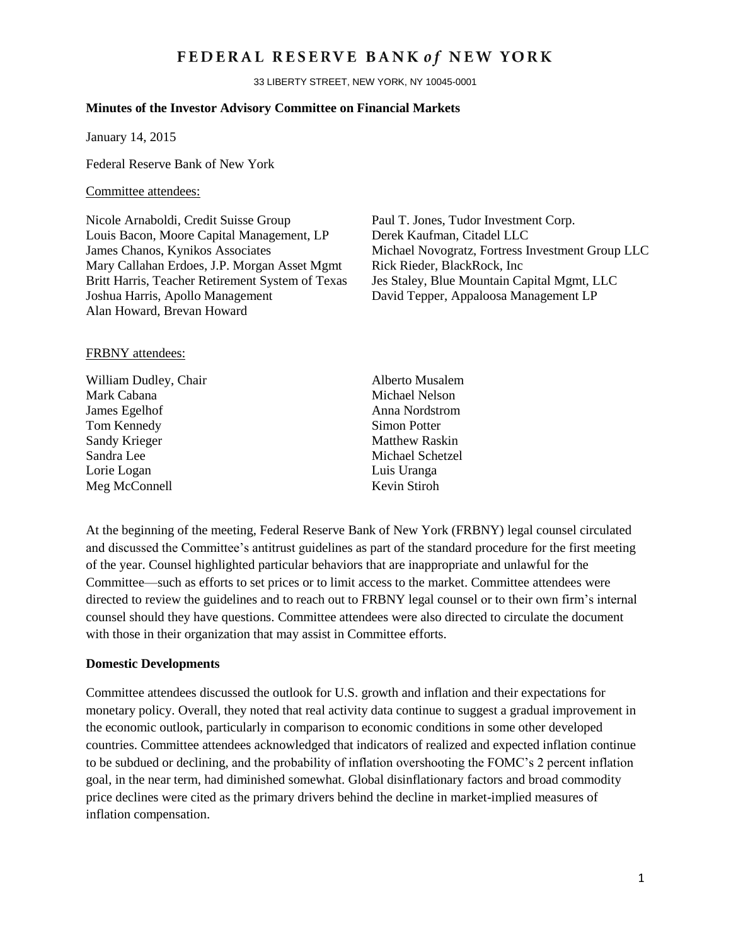# FEDERAL RESERVE BANK of NEW YORK

33 LIBERTY STREET, NEW YORK, NY 10045-0001

### **Minutes of the Investor Advisory Committee on Financial Markets**

January 14, 2015

Federal Reserve Bank of New York

#### Committee attendees:

Nicole Arnaboldi, Credit Suisse Group Paul T. Jones, Tudor Investment Corp. Louis Bacon, Moore Capital Management, LP Derek Kaufman, Citadel LLC Mary Callahan Erdoes, J.P. Morgan Asset Mgmt Rick Rieder, BlackRock, Inc. Britt Harris, Teacher Retirement System of Texas Jes Staley, Blue Mountain Capital Mgmt, LLC Joshua Harris, Apollo Management David Tepper, Appaloosa Management LP Alan Howard, Brevan Howard

James Chanos, Kynikos Associates Michael Novogratz, Fortress Investment Group LLC

#### FRBNY attendees:

William Dudley, Chair Alberto Musalem Mark Cabana Michael Nelson James Egelhof Anna Nordstrom Tom Kennedy Simon Potter Sandy Krieger Matthew Raskin Sandra Lee Michael Schetzel Lorie Logan Luis Uranga Meg McConnell Kevin Stiroh

At the beginning of the meeting, Federal Reserve Bank of New York (FRBNY) legal counsel circulated and discussed the Committee's antitrust guidelines as part of the standard procedure for the first meeting of the year. Counsel highlighted particular behaviors that are inappropriate and unlawful for the Committee—such as efforts to set prices or to limit access to the market. Committee attendees were directed to review the guidelines and to reach out to FRBNY legal counsel or to their own firm's internal counsel should they have questions. Committee attendees were also directed to circulate the document with those in their organization that may assist in Committee efforts.

#### **Domestic Developments**

Committee attendees discussed the outlook for U.S. growth and inflation and their expectations for monetary policy. Overall, they noted that real activity data continue to suggest a gradual improvement in the economic outlook, particularly in comparison to economic conditions in some other developed countries. Committee attendees acknowledged that indicators of realized and expected inflation continue to be subdued or declining, and the probability of inflation overshooting the FOMC's 2 percent inflation goal, in the near term, had diminished somewhat. Global disinflationary factors and broad commodity price declines were cited as the primary drivers behind the decline in market-implied measures of inflation compensation.